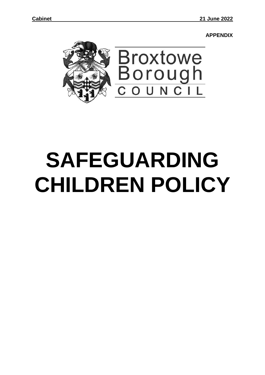**APPENDIX**



# **SAFEGUARDING CHILDREN POLICY**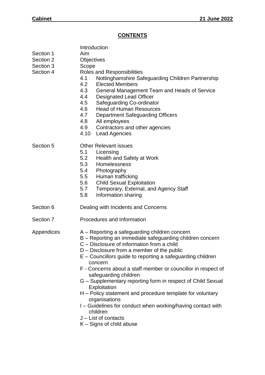# **CONTENTS**

| Section 1<br>Section 2<br>Section 3<br>Section 4 | Introduction<br>Aim<br>Objectives<br>Scope<br>Roles and Responsibilities<br>Nottinghamshire Safeguarding Children Partnership<br>4.1<br>4.2<br><b>Elected Members</b><br>4.3<br>General Management Team and Heads of Service<br>4.4<br><b>Designated Lead Officer</b><br>Safeguarding Co-ordinator<br>4.5<br>4.6<br><b>Head of Human Resources</b><br>4.7<br><b>Department Safeguarding Officers</b><br>4.8<br>All employees<br>4.9<br>Contractors and other agencies<br>4.10<br><b>Lead Agencies</b>                                                                                                                                                                        |  |  |
|--------------------------------------------------|------------------------------------------------------------------------------------------------------------------------------------------------------------------------------------------------------------------------------------------------------------------------------------------------------------------------------------------------------------------------------------------------------------------------------------------------------------------------------------------------------------------------------------------------------------------------------------------------------------------------------------------------------------------------------|--|--|
| Section 5                                        | <b>Other Relevant issues</b><br>5.1<br>Licensing<br>5.2<br>Health and Safety at Work<br>5.3<br>Homelessness<br>5.4 Photography<br>5.5<br>Human trafficking<br><b>Child Sexual Exploitation</b><br>5.6<br>Temporary, External, and Agency Staff<br>5.7<br>Information sharing<br>5.8                                                                                                                                                                                                                                                                                                                                                                                          |  |  |
| Section 6                                        | Dealing with Incidents and Concerns                                                                                                                                                                                                                                                                                                                                                                                                                                                                                                                                                                                                                                          |  |  |
| Section 7                                        | Procedures and Information                                                                                                                                                                                                                                                                                                                                                                                                                                                                                                                                                                                                                                                   |  |  |
| Appendices                                       | A – Reporting a safeguarding children concern<br>B – Reporting an immediate safeguarding children concern<br>C – Disclosure of information from a child<br>$D$ – Disclosure from a member of the public<br>$E -$ Councillors guide to reporting a safeguarding children<br>concern<br>F - Concerns about a staff member or councillor in respect of<br>safeguarding children<br>G - Supplementary reporting form in respect of Child Sexual<br>Exploitation<br>H – Policy statement and procedure template for voluntary<br>organisations<br>I - Guidelines for conduct when working/having contact with<br>children<br>$J$ – List of contacts<br>$K -$ Signs of child abuse |  |  |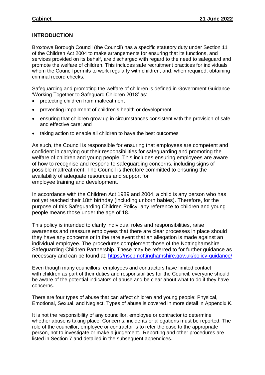### **INTRODUCTION**

Broxtowe Borough Council (the Council) has a specific statutory duty under Section 11 of the Children Act 2004 to make arrangements for ensuring that its functions, and services provided on its behalf, are discharged with regard to the need to safeguard and promote the welfare of children. This includes safe recruitment practices for individuals whom the Council permits to work regularly with children, and, when required, obtaining criminal record checks.

Safeguarding and promoting the welfare of children is defined in Government Guidance 'Working Together to Safeguard Children 2018' as:

- protecting children from maltreatment
- preventing impairment of children's health or development
- ensuring that children grow up in circumstances consistent with the provision of safe and effective care; and
- taking action to enable all children to have the best outcomes

As such, the Council is responsible for ensuring that employees are competent and confident in carrying out their responsibilities for safeguarding and promoting the welfare of children and young people. This includes ensuring employees are aware of how to recognise and respond to safeguarding concerns, including signs of possible maltreatment. The Council is therefore committed to ensuring the availability of adequate resources and support for employee training and development.

In accordance with the Children Act 1989 and 2004, a child is any person who has not yet reached their 18th birthday (including unborn babies). Therefore, for the purpose of this Safeguarding Children Policy, any reference to children and young people means those under the age of 18.

This policy is intended to clarify individual roles and responsibilities, raise awareness and reassure employees that there are clear processes in place should they have any concerns or in the rare event that an allegation is made against an individual employee. The procedures complement those of the Nottinghamshire Safeguarding Children Partnership. These may be referred to for further guidance as necessary and can be found at: <https://nscp.nottinghamshire.gov.uk/policy-guidance/>

Even though many councillors, employees and contractors have limited contact with children as part of their duties and responsibilities for the Council, everyone should be aware of the potential indicators of abuse and be clear about what to do if they have concerns.

There are four types of abuse that can affect children and young people: Physical, Emotional, Sexual, and Neglect. Types of abuse is covered in more detail in Appendix K.

It is not the responsibility of any councillor, employee or contractor to determine whether abuse is taking place. Concerns, incidents or allegations must be reported. The role of the councillor, employee or contractor is to refer the case to the appropriate person, not to investigate or make a judgement. Reporting and other procedures are listed in Section 7 and detailed in the subsequent appendices.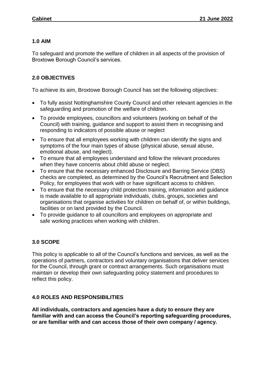#### **1.0 AIM**

To safeguard and promote the welfare of children in all aspects of the provision of Broxtowe Borough Council's services.

# **2.0 OBJECTIVES**

To achieve its aim, Broxtowe Borough Council has set the following objectives:

- To fully assist Nottinghamshire County Council and other relevant agencies in the safeguarding and promotion of the welfare of children.
- To provide employees, councillors and volunteers (working on behalf of the Council) with training, guidance and support to assist them in recognising and responding to indicators of possible abuse or neglect
- To ensure that all employees working with children can identify the signs and symptoms of the four main types of abuse (physical abuse, sexual abuse, emotional abuse, and neglect).
- To ensure that all employees understand and follow the relevant procedures when they have concerns about child abuse or neglect.
- To ensure that the necessary enhanced Disclosure and Barring Service (DBS) checks are completed, as determined by the Council's Recruitment and Selection Policy, for employees that work with or have significant access to children.
- To ensure that the necessary child protection training, information and guidance is made available to all appropriate individuals, clubs, groups, societies and organisations that organise activities for children on behalf of, or within buildings, facilities or on land provided by the Council.
- To provide guidance to all councillors and employees on appropriate and safe working practices when working with children.

# **3.0 SCOPE**

This policy is applicable to all of the Council's functions and services, as well as the operations of partners, contractors and voluntary organisations that deliver services for the Council, through grant or contract arrangements. Such organisations must maintain or develop their own safeguarding policy statement and procedures to reflect this policy.

# **4.0 ROLES AND RESPONSIBILITIES**

**All individuals, contractors and agencies have a duty to ensure they are familiar with and can access the Council's reporting safeguarding procedures, or are familiar with and can access those of their own company / agency.**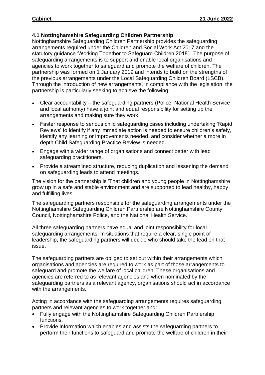### **4.1 Nottinghamshire Safeguarding Children Partnership**

Nottinghamshire Safeguarding Children Partnership provides the safeguarding arrangements required under the Children and Social Work Act 2017 and the statutory guidance 'Working Together to Safeguard Children 2018'. The purpose of safeguarding arrangements is to support and enable local organisations and agencies to work together to safeguard and promote the welfare of children. The partnership was formed on 1 January 2019 and intends to build on the strengths of the previous arrangements under the Local Safeguarding Children Board (LSCB). Through the introduction of new arrangements, in compliance with the legislation, the partnership is particularly seeking to achieve the following:

- Clear accountability the safeguarding partners (Police, National Health Service and local authority) have a joint and equal responsibility for setting up the arrangements and making sure they work.
- Faster response to serious child safeguarding cases including undertaking 'Rapid Reviews' to identify if any immediate action is needed to ensure children's safety, identify any learning or improvements needed, and consider whether a more in depth Child Safeguarding Practice Review is needed.
- Engage with a wider range of organisations and connect better with lead safeguarding practitioners.
- Provide a streamlined structure, reducing duplication and lessening the demand on safeguarding leads to attend meetings.

The vision for the partnership is 'That children and young people in Nottinghamshire grow up in a safe and stable environment and are supported to lead healthy, happy and fulfilling lives

The safeguarding partners responsible for the safeguarding arrangements under the Nottinghamshire Safeguarding Children Partnership are Nottinghamshire County Council, Nottinghamshire Police, and the National Health Service.

All three safeguarding partners have equal and joint responsibility for local safeguarding arrangements. In situations that require a clear, single point of leadership, the safeguarding partners will decide who should take the lead on that issue.

The safeguarding partners are obliged to set out within their arrangements which organisations and agencies are required to work as part of those arrangements to safeguard and promote the welfare of local children. These organisations and agencies are referred to as relevant agencies and when nominated by the safeguarding partners as a relevant agency, organisations should act in accordance with the arrangements.

Acting in accordance with the safeguarding arrangements requires safeguarding partners and relevant agencies to work together and:

- Fully engage with the Nottinghamshire Safeguarding Children Partnership functions.
- Provide information which enables and assists the safeguarding partners to perform their functions to safeguard and promote the welfare of children in their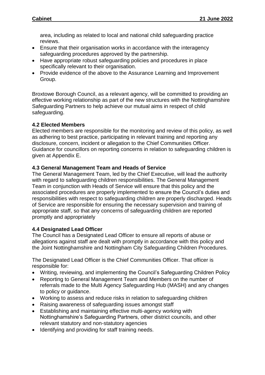area, including as related to local and national child safeguarding practice reviews.

- Ensure that their organisation works in accordance with the interagency safeguarding procedures approved by the partnership.
- Have appropriate robust safeguarding policies and procedures in place specifically relevant to their organisation.
- Provide evidence of the above to the Assurance Learning and Improvement Group.

Broxtowe Borough Council, as a relevant agency, will be committed to providing an effective working relationship as part of the new structures with the Nottinghamshire Safeguarding Partners to help achieve our mutual aims in respect of child safeguarding.

# **4.2 Elected Members**

Elected members are responsible for the monitoring and review of this policy, as well as adhering to best practice, participating in relevant training and reporting any disclosure, concern, incident or allegation to the Chief Communities Officer. Guidance for councillors on reporting concerns in relation to safeguarding children is given at Appendix E.

### **4.3 General Management Team and Heads of Service**

The General Management Team, led by the Chief Executive, will lead the authority with regard to safeguarding children responsibilities. The General Management Team in conjunction with Heads of Service will ensure that this policy and the associated procedures are properly implemented to ensure the Council's duties and responsibilities with respect to safeguarding children are properly discharged. Heads of Service are responsible for ensuring the necessary supervision and training of appropriate staff, so that any concerns of safeguarding children are reported promptly and appropriately

# **4.4 Designated Lead Officer**

The Council has a Designated Lead Officer to ensure all reports of abuse or allegations against staff are dealt with promptly in accordance with this policy and the Joint Nottinghamshire and Nottingham City Safeguarding Children Procedures.

The Designated Lead Officer is the Chief Communities Officer. That officer is responsible for:

- Writing, reviewing, and implementing the Council's Safeguarding Children Policy
- Reporting to General Management Team and Members on the number of referrals made to the Multi Agency Safeguarding Hub (MASH) and any changes to policy or guidance.
- Working to assess and reduce risks in relation to safeguarding children
- Raising awareness of safeguarding issues amongst staff
- Establishing and maintaining effective multi-agency working with Nottinghamshire's Safeguarding Partners, other district councils, and other relevant statutory and non-statutory agencies
- Identifying and providing for staff training needs.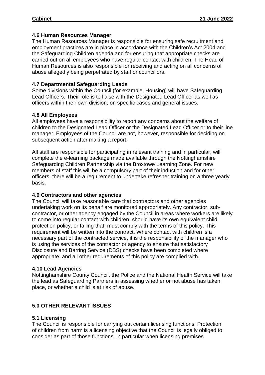#### **4.6 Human Resources Manager**

The Human Resources Manager is responsible for ensuring safe recruitment and employment practices are in place in accordance with the Children's Act 2004 and the Safeguarding Children agenda and for ensuring that appropriate checks are carried out on all employees who have regular contact with children. The Head of Human Resources is also responsible for receiving and acting on all concerns of abuse allegedly being perpetrated by staff or councillors.

#### **4.7 Departmental Safeguarding Leads**

Some divisions within the Council (for example, Housing) will have Safeguarding Lead Officers. Their role is to liaise with the Designated Lead Officer as well as officers within their own division, on specific cases and general issues.

### **4.8 All Employees**

All employees have a responsibility to report any concerns about the welfare of children to the Designated Lead Officer or the Designated Lead Officer or to their line manager. Employees of the Council are not, however, responsible for deciding on subsequent action after making a report.

All staff are responsible for participating in relevant training and in particular, will complete the e-learning package made available through the Nottinghamshire Safeguarding Children Partnership via the Broxtowe Learning Zone. For new members of staff this will be a compulsory part of their induction and for other officers, there will be a requirement to undertake refresher training on a three yearly basis.

#### **4.9 Contractors and other agencies**

The Council will take reasonable care that contractors and other agencies undertaking work on its behalf are monitored appropriately. Any contractor, subcontractor, or other agency engaged by the Council in areas where workers are likely to come into regular contact with children, should have its own equivalent child protection policy, or failing that, must comply with the terms of this policy. This requirement will be written into the contract. Where contact with children is a necessary part of the contracted service, it is the responsibility of the manager who is using the services of the contractor or agency to ensure that satisfactory Disclosure and Barring Service (DBS) checks have been completed where appropriate, and all other requirements of this policy are complied with.

#### **4.10 Lead Agencies**

Nottinghamshire County Council, the Police and the National Health Service will take the lead as Safeguarding Partners in assessing whether or not abuse has taken place, or whether a child is at risk of abuse.

# **5.0 OTHER RELEVANT ISSUES**

# **5.1 Licensing**

The Council is responsible for carrying out certain licensing functions. Protection of children from harm is a licensing objective that the Council is legally obliged to consider as part of those functions, in particular when licensing premises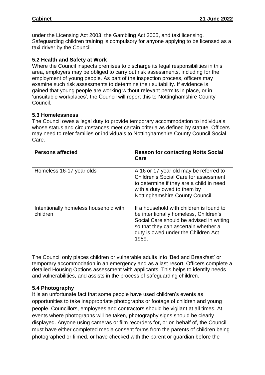under the Licensing Act 2003, the Gambling Act 2005, and taxi licensing. Safeguarding children training is compulsory for anyone applying to be licensed as a taxi driver by the Council.

#### **5.2 Health and Safety at Work**

Where the Council inspects premises to discharge its legal responsibilities in this area, employers may be obliged to carry out risk assessments, including for the employment of young people. As part of the inspection process, officers may examine such risk assessments to determine their suitability. If evidence is gained that young people are working without relevant permits in place, or in 'unsuitable workplaces', the Council will report this to Nottinghamshire County Council.

#### **5.3 Homelessness**

The Council owes a legal duty to provide temporary accommodation to individuals whose status and circumstances meet certain criteria as defined by statute. Officers may need to refer families or individuals to Nottinghamshire County Council Social Care.

| <b>Persons affected</b>                           | <b>Reason for contacting Notts Social</b><br>Care                                                                                                                                                                     |
|---------------------------------------------------|-----------------------------------------------------------------------------------------------------------------------------------------------------------------------------------------------------------------------|
| Homeless 16-17 year olds                          | A 16 or 17 year old may be referred to<br><b>Children's Social Care for assessment</b><br>to determine if they are a child in need<br>with a duty owed to them by<br>Nottinghamshire County Council.                  |
| Intentionally homeless household with<br>children | If a household with children is found to<br>be intentionally homeless, Children's<br>Social Care should be advised in writing<br>so that they can ascertain whether a<br>duty is owed under the Children Act<br>1989. |

The Council only places children or vulnerable adults into 'Bed and Breakfast' or temporary accommodation in an emergency and as a last resort. Officers complete a detailed Housing Options assessment with applicants. This helps to identify needs and vulnerabilities, and assists in the process of safeguarding children.

# **5.4 Photography**

It is an unfortunate fact that some people have used children's events as opportunities to take inappropriate photographs or footage of children and young people. Councillors, employees and contractors should be vigilant at all times. At events where photographs will be taken, photography signs should be clearly displayed. Anyone using cameras or film recorders for, or on behalf of, the Council must have either completed media consent forms from the parents of children being photographed or filmed, or have checked with the parent or guardian before the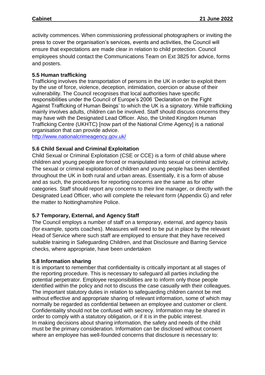activity commences. When commissioning professional photographers or inviting the press to cover the organisation's services, events and activities, the Council will ensure that expectations are made clear in relation to child protection. Council employees should contact the Communications Team on Ext 3825 for advice, forms and posters.

### **5.5 Human trafficking**

Trafficking involves the transportation of persons in the UK in order to exploit them by the use of force, violence, deception, intimidation, coercion or abuse of their vulnerability. The Council recognises that local authorities have specific responsibilities under the Council of Europe's 2006 'Declaration on the Fight Against Trafficking of Human Beings' to which the UK is a signatory. While trafficking mainly involves adults, children can be involved. Staff should discuss concerns they may have with the Designated Lead Officer. Also, the United Kingdom Human Trafficking Centre (UKHTC) [now part of the National Crime Agency] is a national organisation that can provide advice.

<http://www.nationalcrimeagency.gov.uk/>

#### **5.6 Child Sexual and Criminal Exploitation**

Child Sexual or Criminal Exploitation (CSE or CCE) is a form of child abuse where children and young people are forced or manipulated into sexual or criminal activity. The sexual or criminal exploitation of children and young people has been identified throughout the UK in both rural and urban areas. Essentially, it is a form of abuse and as such, the procedures for reporting concerns are the same as for other categories. Staff should report any concerns to their line manager, or directly with the Designated Lead Officer, who will complete the relevant form (Appendix G) and refer the matter to Nottinghamshire Police.

#### **5.7 Temporary, External, and Agency Staff**

The Council employs a number of staff on a temporary, external, and agency basis (for example, sports coaches). Measures will need to be put in place by the relevant Head of Service where such staff are employed to ensure that they have received suitable training in Safeguarding Children, and that Disclosure and Barring Service checks, where appropriate, have been undertaken

#### **5.8 Information sharing**

It is important to remember that confidentiality is critically important at all stages of the reporting procedure. This is necessary to safeguard all parties including the potential perpetrator. Employee responsibilities are to inform only those people identified within the policy and not to discuss the case casually with their colleagues. The important statutory duties in relation to safeguarding children cannot be met without effective and appropriate sharing of relevant information, some of which may normally be regarded as confidential between an employee and customer or client. Confidentiality should not be confused with secrecy. Information may be shared in order to comply with a statutory obligation, or if it is in the public interest. In making decisions about sharing information, the safety and needs of the child must be the primary consideration. Information can be disclosed without consent where an employee has well-founded concerns that disclosure is necessary to: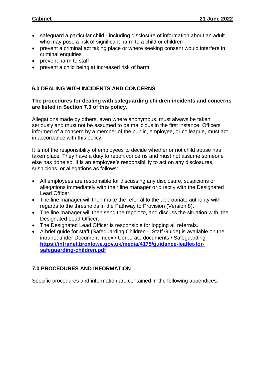- safeguard a particular child including disclosure of information about an adult who may pose a risk of significant harm to a child or children
- prevent a criminal act taking place or where seeking consent would interfere in criminal enquiries
- prevent harm to staff
- prevent a child being at increased risk of harm

# **6.0 DEALING WITH INCIDENTS AND CONCERNS**

#### **The procedures for dealing with safeguarding children incidents and concerns are listed in Section 7.0 of this policy.**

Allegations made by others, even where anonymous, must always be taken seriously and must not be assumed to be malicious in the first instance. Officers informed of a concern by a member of the public, employee, or colleague, must act in accordance with this policy.

It is not the responsibility of employees to decide whether or not child abuse has taken place. They have a duty to report concerns and must not assume someone else has done so. It is an employee's responsibility to act on any disclosures, suspicions, or allegations as follows:

- All employees are responsible for discussing any disclosure, suspicions or allegations immediately with their line manager or directly with the Designated Lead Officer.
- The line manager will then make the referral to the appropriate authority with regards to the thresholds in the Pathway to Provision (Version 8).
- The line manager will then send the report to, and discuss the situation with, the Designated Lead Officer.
- The Designated Lead Officer is responsible for logging all referrals.
- A brief guide for staff (Safeguarding Children Staff Guide) is available on the intranet under Document Index / Corporate documents / Safeguarding **[https://intranet.broxtowe.gov.uk/media/4175/guidance-leaflet-for](https://intranet.broxtowe.gov.uk/media/4175/guidance-leaflet-for-safeguarding-children.pdf)[safeguarding-children.pdf](https://intranet.broxtowe.gov.uk/media/4175/guidance-leaflet-for-safeguarding-children.pdf)**

# **7.0 PROCEDURES AND INFORMATION**

Specific procedures and information are contained in the following appendices: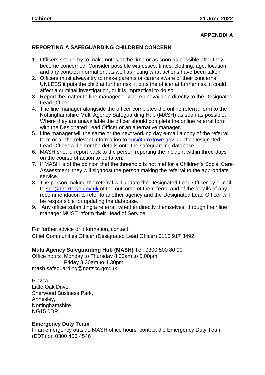# **APPENDIX A**

# **REPORTING A SAFEGUARDING CHILDREN CONCERN**

- 1. Officers should try to make notes at the time or as soon as possible after they become concerned. Consider possible witnesses, times, clothing, age, location and any contact information, as well as noting what actions have been taken.
- 2. Officers must always try to make parents or carers aware of their concerns UNLESS it puts the child at further risk, it puts the officer at further risk, it could affect a criminal investigation, or it is impractical to do so.
- 3. Report the matter to line manager or where unavailable directly to the Designated Lead Officer.
- 4. The line manager alongside the officer completes the online referral form to the Nottinghamshire Multi Agency Safeguarding Hub (MASH) as soon as possible. Where they are unavailable the officer should complete the online referral form with the Designated Lead Officer or an alternative manager.
- 5. Line manager will the same or the next working day e-mail a copy of the referral form or all the relevant information to **spc@broxtowe.gov.uk** the Designated Lead Officer will enter the details onto the safeguarding database.
- 6. MASH should report back to the person reporting the incident within three days on the course of action to be taken.
- 7. If MASH is of the opinion that the threshold is not met for a Children's Social Care Assessment, they will signpost the person making the referral to the appropriate service.
- 8. The person making the referral will update the Designated Lead Officer by e-mail to [spc@broxtowe.gov.uk](mailto:spc@broxtowe.gov.uk) of the outcome of the referral and of the details of any recommendation to refer to another agency and the Designated Lead Officer will be responsible for updating the database.
- 9. Any officer submitting a referral, whether directly themselves, through their line manager MUST inform their Head of Service.

For further advice or information, contact: Chief Communities Officer (Designated Lead Officer) 0115 917 3492

#### **Multi Agency Safeguarding Hub (MASH)** Tel: 0300 500 80 90

Office hours Monday to Thursday 8.30am to 5.00pm Friday 8.30am to 4.30pm mash.safeguarding@nottscc.gov.uk

Piazza, Little Oak Drive, Sherwood Business Park, Annesley, **Nottinghamshire** NG15 0DR

# **Emergency Duty Team**

In an emergency outside MASH office hours, contact the Emergency Duty Team (EDT) on 0300 456 4546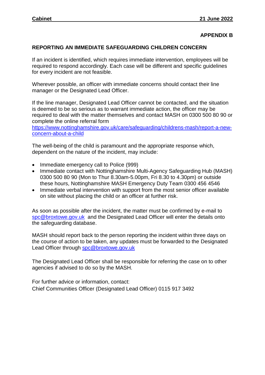#### **APPENDIX B**

#### **REPORTING AN IMMEDIATE SAFEGUARDING CHILDREN CONCERN**

If an incident is identified, which requires immediate intervention, employees will be required to respond accordingly. Each case will be different and specific guidelines for every incident are not feasible.

Wherever possible, an officer with immediate concerns should contact their line manager or the Designated Lead Officer.

If the line manager, Designated Lead Officer cannot be contacted, and the situation is deemed to be so serious as to warrant immediate action, the officer may be required to deal with the matter themselves and contact MASH on 0300 500 80 90 or complete the online referral form

[https://www.nottinghamshire.gov.uk/care/safeguarding/childrens-mash/report-a-new](https://www.nottinghamshire.gov.uk/care/safeguarding/childrens-mash/report-a-new-concern-about-a-child)[concern-about-a-child](https://www.nottinghamshire.gov.uk/care/safeguarding/childrens-mash/report-a-new-concern-about-a-child)

The well-being of the child is paramount and the appropriate response which, dependent on the nature of the incident, may include:

- Immediate emergency call to Police (999)
- Immediate contact with Nottinghamshire Multi-Agency Safeguarding Hub (MASH) 0300 500 80 90 (Mon to Thur 8.30am-5.00pm, Fri 8.30 to 4.30pm) or outside these hours, Nottinghamshire MASH Emergency Duty Team 0300 456 4546
- Immediate verbal intervention with support from the most senior officer available on site without placing the child or an officer at further risk.

As soon as possible after the incident, the matter must be confirmed by e-mail to [spc@broxtowe.gov.uk](mailto:spc@broxtowe.gov.uk) and the Designated Lead Officer will enter the details onto the safeguarding database.

MASH should report back to the person reporting the incident within three days on the course of action to be taken, any updates must be forwarded to the Designated Lead Officer through [spc@broxtowe.gov.uk](mailto:spc@broxtowe.gov.uk)

The Designated Lead Officer shall be responsible for referring the case on to other agencies if advised to do so by the MASH.

For further advice or information, contact: Chief Communities Officer (Designated Lead Officer) 0115 917 3492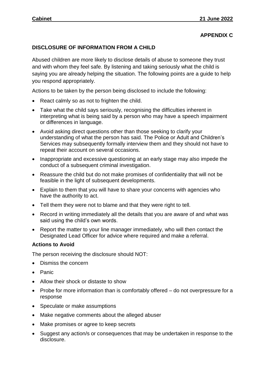# **APPENDIX C**

#### **DISCLOSURE OF INFORMATION FROM A CHILD**

Abused children are more likely to disclose details of abuse to someone they trust and with whom they feel safe. By listening and taking seriously what the child is saying you are already helping the situation. The following points are a guide to help you respond appropriately.

Actions to be taken by the person being disclosed to include the following:

- React calmly so as not to frighten the child.
- Take what the child says seriously, recognising the difficulties inherent in interpreting what is being said by a person who may have a speech impairment or differences in language.
- Avoid asking direct questions other than those seeking to clarify your understanding of what the person has said. The Police or Adult and Children's Services may subsequently formally interview them and they should not have to repeat their account on several occasions.
- Inappropriate and excessive questioning at an early stage may also impede the conduct of a subsequent criminal investigation.
- Reassure the child but do not make promises of confidentiality that will not be feasible in the light of subsequent developments.
- Explain to them that you will have to share your concerns with agencies who have the authority to act.
- Tell them they were not to blame and that they were right to tell.
- Record in writing immediately all the details that you are aware of and what was said using the child's own words.
- Report the matter to your line manager immediately, who will then contact the Designated Lead Officer for advice where required and make a referral.

#### **Actions to Avoid**

The person receiving the disclosure should NOT:

- Dismiss the concern
- Panic
- Allow their shock or distaste to show
- Probe for more information than is comfortably offered do not overpressure for a response
- Speculate or make assumptions
- Make negative comments about the alleged abuser
- Make promises or agree to keep secrets
- Suggest any action/s or consequences that may be undertaken in response to the disclosure.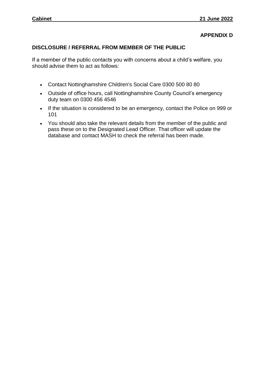# **APPENDIX D**

#### **DISCLOSURE / REFERRAL FROM MEMBER OF THE PUBLIC**

If a member of the public contacts you with concerns about a child's welfare, you should advise them to act as follows:

- Contact Nottinghamshire Children's Social Care 0300 500 80 80
- Outside of office hours, call Nottinghamshire County Council's emergency duty team on 0300 456 4546
- If the situation is considered to be an emergency, contact the Police on 999 or 101
- You should also take the relevant details from the member of the public and pass these on to the Designated Lead Officer. That officer will update the database and contact MASH to check the referral has been made.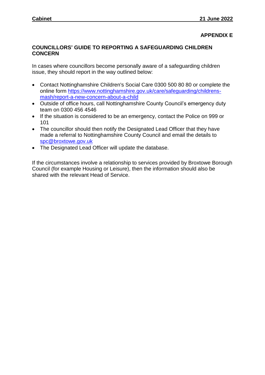#### **APPENDIX E**

#### **COUNCILLORS' GUIDE TO REPORTING A SAFEGUARDING CHILDREN CONCERN**

In cases where councillors become personally aware of a safeguarding children issue, they should report in the way outlined below:

- Contact Nottinghamshire Children's Social Care 0300 500 80 80 or complete the online form [https://www.nottinghamshire.gov.uk/care/safeguarding/childrens](https://www.nottinghamshire.gov.uk/care/safeguarding/childrens-mash/report-a-new-concern-about-a-child)[mash/report-a-new-concern-about-a-child](https://www.nottinghamshire.gov.uk/care/safeguarding/childrens-mash/report-a-new-concern-about-a-child)
- Outside of office hours, call Nottinghamshire County Council's emergency duty team on 0300 456 4546
- If the situation is considered to be an emergency, contact the Police on 999 or 101
- The councillor should then notify the Designated Lead Officer that they have made a referral to Nottinghamshire County Council and email the details to [spc@broxtowe.gov.uk](mailto:spc@broxtowe.gov.uk)
- The Designated Lead Officer will update the database.

If the circumstances involve a relationship to services provided by Broxtowe Borough Council (for example Housing or Leisure), then the information should also be shared with the relevant Head of Service.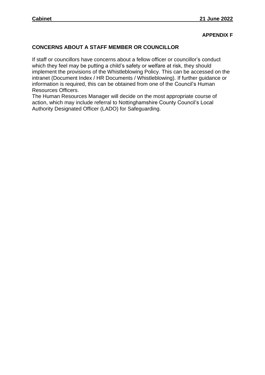#### **APPENDIX F**

# **CONCERNS ABOUT A STAFF MEMBER OR COUNCILLOR**

If staff or councillors have concerns about a fellow officer or councillor's conduct which they feel may be putting a child's safety or welfare at risk, they should implement the provisions of the Whistleblowing Policy. This can be accessed on the intranet (Document Index / HR Documents / Whistleblowing). If further guidance or information is required, this can be obtained from one of the Council's Human Resources Officers.

The Human Resources Manager will decide on the most appropriate course of action, which may include referral to Nottinghamshire County Council's Local Authority Designated Officer (LADO) for Safeguarding.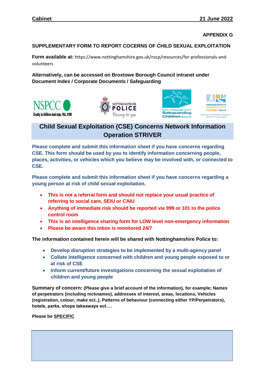**APPENDIX G**

#### **SUPPLEMENTARY FORM TO REPORT COCERNS OF CHILD SEXUAL EXPLOITATION**

**Form available at:** https://www.nottinghamshire.gov.uk/nscp/resources/for-professionals-andvolunteers

#### **Alternatively, can be accessed on Broxtowe Borough Council intranet under Document Index / Corporate Documents / Safeguarding**









# **Child Sexual Exploitation (CSE) Concerns Network Information Operation STRIVER**

**Please complete and submit this information sheet if you have concerns regarding CSE. This form should be used by you to identify information concerning people, places, activities, or vehicles which you believe may be involved with, or connected to CSE.** 

**Please complete and submit this information sheet if you have concerns regarding a young person at risk of child sexual exploitation.** 

- **This is not a referral form and should not replace your usual practice of referring to social care, SEIU or CAIU**
- **Anything of immediate risk should be reported via 999 or 101 to the police control room**
- **This is an intelligence sharing form for LOW level non-emergency information**
- **Please be aware this inbox is monitored 24/7**

**The information contained herein will be shared with Nottinghamshire Police to:**

- **Develop disruption strategies to be implemented by a multi-agency panel**
- **Collate intelligence concerned with children and young people exposed to or at risk of CSE**
- **Inform current/future investigations concerning the sexual exploitation of children and young people**

**Summary of concern: (Please give a brief account of the information), for example; Names of perpetrators (including nicknames), addresses of interest, areas, locations, Vehicles (registration, colour, make ect..), Patterns of behaviour (connecting either YP/Perpetrators), hotels, parks, shops takeaways ect….** 

**Please be SPECIFIC**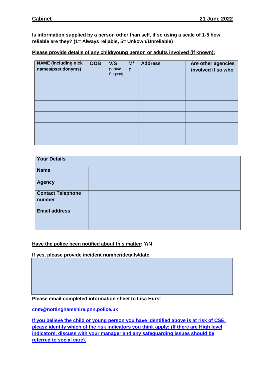**Is information supplied by a person other than self, if so using a scale of 1-5 how reliable are they? (1= Always reliable, 5= Unkown/Unreliable)**

#### **Please provide details of any child/young person or adults involved (if known):**

| <b>NAME</b> (including nick<br>names/pseudonyms) | <b>DOB</b> | V/S<br>(Victim/<br>Suspect) | M/<br>F | <b>Address</b> | Are other agencies<br>involved if so who |
|--------------------------------------------------|------------|-----------------------------|---------|----------------|------------------------------------------|
|                                                  |            |                             |         |                |                                          |
|                                                  |            |                             |         |                |                                          |
|                                                  |            |                             |         |                |                                          |
|                                                  |            |                             |         |                |                                          |
|                                                  |            |                             |         |                |                                          |

| <b>Your Details</b>                |  |
|------------------------------------|--|
| <b>Name</b>                        |  |
| <b>Agency</b>                      |  |
| <b>Contact Telephone</b><br>number |  |
| <b>Email address</b>               |  |

#### **Have the police been notified about this matter: Y/N**

**If yes, please provide incident number/details/date:** 

**Please email completed information sheet to Lisa Hurst** 

**[cnm@nottinghamshire.pnn.police.uk](mailto:cnm@nottinghamshire.pnn.police.uk)**

**If you believe the child or young person you have identified above is at risk of CSE, please identify which of the risk indicators you think apply: (If there are High level indicators, discuss with your manager and any safeguarding issues should be referred to social care).**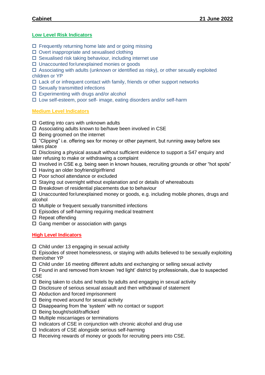#### **Low Level Risk Indicators**

- $\Box$  Frequently returning home late and or going missing
- $\Box$  Overt inappropriate and sexualised clothing
- $\square$  Sexualised risk taking behaviour, including internet use
- □ Unaccounted for/unexplained monies or goods

 $\Box$  Associating with adults (unknown or identified as risky), or other sexually exploited children or YP

- $\Box$  Lack of or infrequent contact with family, friends or other support networks
- $\square$  Sexually transmitted infections
- $\square$  Experimenting with drugs and/or alcohol
- $\square$  Low self-esteem, poor self- image, eating disorders and/or self-harm

#### **Medium Level Indicators**

- $\Box$  Getting into cars with unknown adults
- □ Associating adults known to be/have been involved in CSE
- $\square$  Being groomed on the internet

 $\Box$  "Clipping" i.e. offering sex for money or other payment, but running away before sex takes place

 $\square$  Disclosing a physical assault without sufficient evidence to support a S47 enquiry and later refusing to make or withdrawing a complaint

- $\Box$  Involved in CSE e.g. being seen in known houses, recruiting grounds or other "hot spots"
- $\Box$  Having an older boyfriend/girlfriend
- $\square$  Poor school attendance or excluded
- $\square$  Staying out overnight without explanation and or details of whereabouts
- $\square$  Breakdown of residential placements due to behaviour

 $\Box$  Unaccounted for/unexplained money or goods, e.g. including mobile phones, drugs and alcohol

- $\Box$  Multiple or frequent sexually transmitted infections
- $\square$  Episodes of self-harming requiring medical treatment
- $\square$  Repeat offending
- $\Box$  Gang member or association with gangs

#### **High Level Indicators**

Child under 13 engaging in sexual activity

 $\Box$  Episodes of street homelessness, or staying with adults believed to be sexually exploiting them/other YP

 $\Box$  Child under 16 meeting different adults and exchanging or selling sexual activity

 $\Box$  Found in and removed from known 'red light' district by professionals, due to suspected **CSE** 

- $\Box$  Being taken to clubs and hotels by adults and engaging in sexual activity
- $\Box$  Disclosure of serious sexual assault and then withdrawal of statement
- □ Abduction and forced imprisonment
- $\square$  Being moved around for sexual activity
- $\square$  Disappearing from the 'system' with no contact or support
- $\square$  Being bought/sold/trafficked
- $\Box$  Multiple miscarriages or terminations
- $\Box$  Indicators of CSE in conjunction with chronic alcohol and drug use
- $\square$  Indicators of CSE alongside serious self-harming
- $\Box$  Receiving rewards of money or goods for recruiting peers into CSE.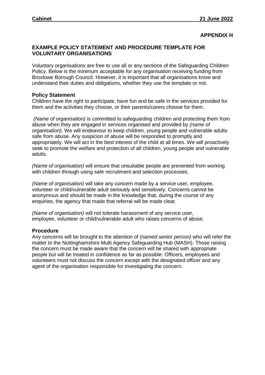#### **APPENDIX H**

#### **EXAMPLE POLICY STATEMENT AND PROCEDURE TEMPLATE FOR VOLUNTARY ORGANISATIONS**

Voluntary organisations are free to use all or any sections of the Safeguarding Children Policy. Below is the minimum acceptable for any organisation receiving funding from Broxtowe Borough Council. However, it is important that all organisations know and understand their duties and obligations, whether they use the template or not.

#### **Policy Statement**

Children have the right to participate, have fun and be safe in the services provided for them and the activities they choose, or their parents/carers choose for them.

*(Name of organisation)* is committed to safeguarding children and protecting them from abuse when they are engaged in services organised and provided by *(name of organisation).* We will endeavour to keep children, young people and vulnerable adults safe from abuse. Any suspicion of abuse will be responded to promptly and appropriately. We will act in the best interest of the child at all times. We will proactively seek to promote the welfare and protection of all children, young people and vulnerable adults.

*(Name of organisation)* will ensure that unsuitable people are prevented from working with children through using safe recruitment and selection processes.

*(Name of organisation)* will take any concern made by a service user, employee, volunteer or child/vulnerable adult seriously and sensitively. Concerns cannot be anonymous and should be made in the knowledge that, during the course of any enquiries, the agency that made that referral will be made clear.

*(Name of organisation)* will not tolerate harassment of any service user, employee, volunteer or child/vulnerable adult who raises concerns of abuse.

#### **Procedure**

Any concerns will be brought to the attention of *(named senior person)* who will refer the matter to the Nottinghamshire Multi Agency Safeguarding Hub (MASH). Those raising the concern must be made aware that the concern will be shared with appropriate people but will be treated in confidence as far as possible. Officers, employees and volunteers must not discuss the concern except with the designated officer and any agent of the organisation responsible for investigating the concern.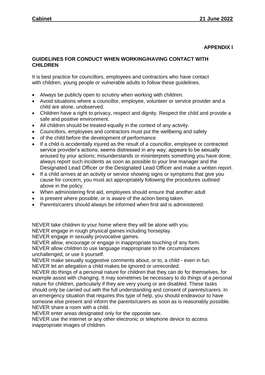#### **APPENDIX I**

#### **GUIDELINES FOR CONDUCT WHEN WORKING/HAVING CONTACT WITH CHILDREN**

It is best practice for councillors, employees and contractors who have contact with children, young people or vulnerable adults to follow these guidelines.

- Always be publicly open to scrutiny when working with children.
- Avoid situations where a councillor, employee, volunteer or service provider and a child are alone, unobserved.
- Children have a right to privacy, respect and dignity. Respect the child and provide a safe and positive environment.
- All children should be treated equally in the context of any activity.
- Councillors, employees and contractors must put the wellbeing and safety
- of the child before the development of performance.
- If a child is accidentally injured as the result of a councillor, employee or contracted service provider's actions; seems distressed in any way; appears to be sexually aroused by your actions; misunderstands or misinterprets something you have done; always report such incidents as soon as possible to your line manager and the Designated Lead Officer or the Designated Lead Officer and make a written report.
- If a child arrives at an activity or service showing signs or symptoms that give you cause for concern, you must act appropriately following the procedures outlined above in the policy.
- When administering first aid, employees should ensure that another adult
- is present where possible, or is aware of the action being taken.
- Parents/carers should always be informed when first aid is administered.

NEVER take children to your home where they will be alone with you.

NEVER engage in rough physical games including horseplay.

NEVER engage in sexually provocative games.

NEVER allow, encourage or engage in inappropriate touching of any form. NEVER allow children to use language inappropriate to the circumstances unchallenged, or use it yourself.

NEVER make sexually suggestive comments about, or to, a child - even in fun. NEVER let an allegation a child makes be ignored or unrecorded.

NEVER do things of a personal nature for children that they can do for themselves, for example assist with changing. It may sometimes be necessary to do things of a personal nature for children, particularly if they are very young or are disabled. These tasks should only be carried out with the full understanding and consent of parents/carers. In an emergency situation that requires this type of help, you should endeavour to have someone else present and inform the parents/carers as soon as is reasonably possible. NEVER share a room with a child.

NEVER enter areas designated only for the opposite sex.

NEVER use the internet or any other electronic or telephone device to access inappropriate images of children.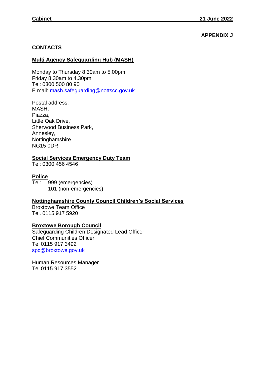# **APPENDIX J**

#### **CONTACTS**

#### **Multi Agency Safeguarding Hub (MASH)**

Monday to Thursday 8.30am to 5.00pm Friday 8.30am to 4.30pm Tel: 0300 500 80 90 E mail: [mash.safeguarding@nottscc.gov.uk](mailto:mash.safeguarding@nottscc.gov.uk)

Postal address: MASH, Piazza, Little Oak Drive, Sherwood Business Park, Annesley, Nottinghamshire NG15 0DR

#### **Social Services Emergency Duty Team**

Tel: 0300 456 4546

#### **Police**

Tel: 999 (emergencies) 101 (non-emergencies)

# **Nottinghamshire County Council Children's Social Services**

Broxtowe Team Office Tel. 0115 917 5920

#### **Broxtowe Borough Council**

Safeguarding Children Designated Lead Officer Chief Communities Officer Tel 0115 917 3492 [spc@broxtowe.gov.uk](mailto:spc@broxtowe.gov.uk)

Human Resources Manager Tel 0115 917 3552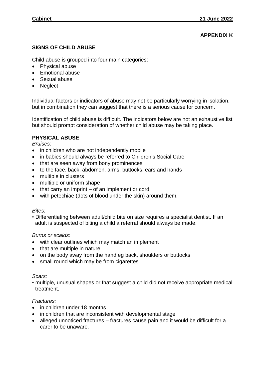# **APPENDIX K**

#### **SIGNS OF CHILD ABUSE**

Child abuse is grouped into four main categories:

- Physical abuse
- **Emotional abuse**
- Sexual abuse
- Neglect

Individual factors or indicators of abuse may not be particularly worrying in isolation, but in combination they can suggest that there is a serious cause for concern.

Identification of child abuse is difficult. The indicators below are not an exhaustive list but should prompt consideration of whether child abuse may be taking place.

#### **PHYSICAL ABUSE**

*Bruises:*

- in children who are not independently mobile
- in babies should always be referred to Children's Social Care
- that are seen away from bony prominences
- to the face, back, abdomen, arms, buttocks, ears and hands
- multiple in clusters
- multiple or uniform shape
- $\bullet$  that carry an imprint of an implement or cord
- with petechiae (dots of blood under the skin) around them.

#### *Bites:*

• Differentiating between adult/child bite on size requires a specialist dentist. If an adult is suspected of biting a child a referral should always be made.

#### *Burns or scalds:*

- with clear outlines which may match an implement
- that are multiple in nature
- on the body away from the hand eg back, shoulders or buttocks
- small round which may be from cigarettes

#### *Scars:*

• multiple, unusual shapes or that suggest a child did not receive appropriate medical treatment.

#### *Fractures:*

- in children under 18 months
- in children that are inconsistent with developmental stage
- alleged unnoticed fractures fractures cause pain and it would be difficult for a carer to be unaware.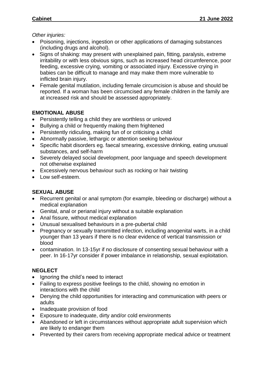*Other injuries:*

- Poisoning, injections, ingestion or other applications of damaging substances (including drugs and alcohol).
- Signs of shaking: may present with unexplained pain, fitting, paralysis, extreme irritability or with less obvious signs, such as increased head circumference, poor feeding, excessive crying, vomiting or associated injury. Excessive crying in babies can be difficult to manage and may make them more vulnerable to inflicted brain injury.
- Female genital mutilation, including female circumcision is abuse and should be reported. If a woman has been circumcised any female children in the family are at increased risk and should be assessed appropriately.

# **EMOTIONAL ABUSE**

- Persistently telling a child they are worthless or unloved
- Bullying a child or frequently making them frightened
- Persistently ridiculing, making fun of or criticising a child
- Abnormally passive, lethargic or attention seeking behaviour
- Specific habit disorders eg. faecal smearing, excessive drinking, eating unusual substances, and self-harm
- Severely delayed social development, poor language and speech development not otherwise explained
- Excessively nervous behaviour such as rocking or hair twisting
- Low self-esteem.

# **SEXUAL ABUSE**

- Recurrent genital or anal symptom (for example, bleeding or discharge) without a medical explanation
- Genital, anal or perianal injury without a suitable explanation
- Anal fissure, without medical explanation
- Unusual sexualised behaviours in a pre-pubertal child
- Pregnancy or sexually transmitted infection, including anogenital warts, in a child younger than 13 years if there is no clear evidence of vertical transmission or blood
- contamination. In 13-15yr if no disclosure of consenting sexual behaviour with a peer. In 16-17yr consider if power imbalance in relationship, sexual exploitation.

# **NEGLECT**

- Ignoring the child's need to interact
- Failing to express positive feelings to the child, showing no emotion in interactions with the child
- Denying the child opportunities for interacting and communication with peers or adults
- Inadequate provision of food
- Exposure to inadequate, dirty and/or cold environments
- Abandoned or left in circumstances without appropriate adult supervision which are likely to endanger them
- Prevented by their carers from receiving appropriate medical advice or treatment